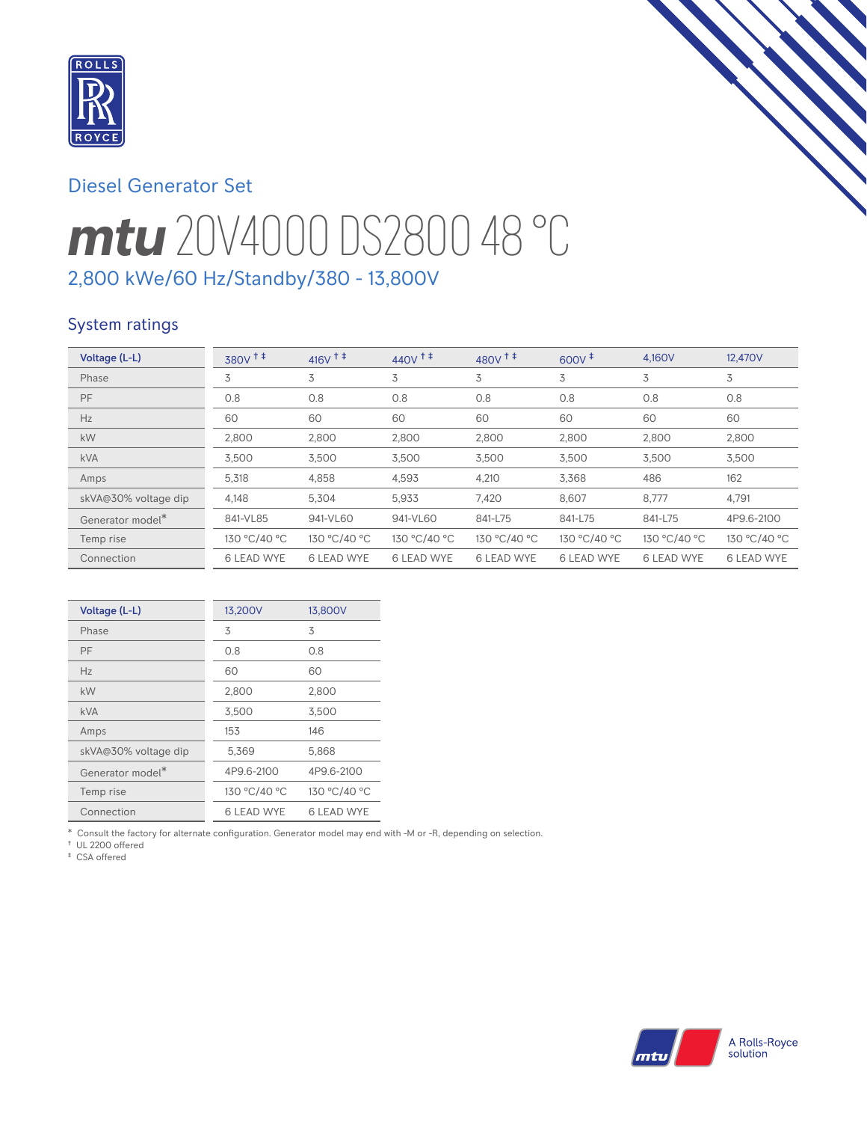

# Diesel Generator Set

# *mtu* 20V4000 DS2800 48 °C 2,800 kWe/60 Hz/Standby/380 - 13,800V

# System ratings

| Voltage (L-L)                | $380V$ <sup>++</sup> | $416V$ <sup>++</sup> | $440V$ <sup>++</sup> | $480V$ <sup>++</sup> | $600V^+$          | 4.160V            | 12.470V           |
|------------------------------|----------------------|----------------------|----------------------|----------------------|-------------------|-------------------|-------------------|
| Phase                        | 3                    | 3                    | 3                    | 3                    | 3                 | 3                 | 3                 |
| PF                           | 0.8                  | 0.8                  | 0.8                  | 0.8                  | 0.8               | 0.8               | 0.8               |
| Hz                           | 60                   | 60                   | 60                   | 60                   | 60                | 60                | 60                |
| kW                           | 2,800                | 2,800                | 2,800                | 2,800                | 2.800             | 2,800             | 2,800             |
| <b>kVA</b>                   | 3,500                | 3.500                | 3,500                | 3,500                | 3,500             | 3,500             | 3,500             |
| Amps                         | 5,318                | 4,858                | 4,593                | 4,210                | 3.368             | 486               | 162               |
| skVA@30% voltage dip         | 4,148                | 5,304                | 5,933                | 7,420                | 8,607             | 8,777             | 4,791             |
| Generator model <sup>*</sup> | 841-VL85             | 941-VL60             | 941-VL60             | 841-L75              | 841-L75           | 841-L75           | 4P9.6-2100        |
| Temp rise                    | 130 °C/40 °C         | 130 °C/40 °C         | 130 °C/40 °C         | 130 °C/40 °C         | 130 °C/40 °C      | 130 °C/40 °C      | 130 °C/40 °C      |
| Connection                   | <b>6 LEAD WYE</b>    | <b>6 LEAD WYE</b>    | <b>6 LEAD WYE</b>    | <b>6 LEAD WYE</b>    | <b>6 LEAD WYE</b> | <b>6 LEAD WYE</b> | <b>6 LEAD WYE</b> |

| Voltage (L-L)                | 13,200V           | 13,800V           |
|------------------------------|-------------------|-------------------|
| Phase                        | 3                 | 3                 |
| PF                           | 0.8               | 0.8               |
| Hz                           | 60                | 60                |
| kW                           | 2,800             | 2,800             |
| <b>kVA</b>                   | 3,500             | 3,500             |
| Amps                         | 153               | 146               |
| skVA@30% voltage dip         | 5,369             | 5,868             |
| Generator model <sup>*</sup> | 4P9.6-2100        | 4P9.6-2100        |
| Temp rise                    | 130 °C/40 °C      | 130 °C/40 °C      |
| Connection                   | <b>6 LEAD WYE</b> | <b>6 LEAD WYE</b> |

\* Consult the factory for alternate configuration. Generator model may end with -M or -R, depending on selection.

† UL 2200 offered

‡ CSA offered

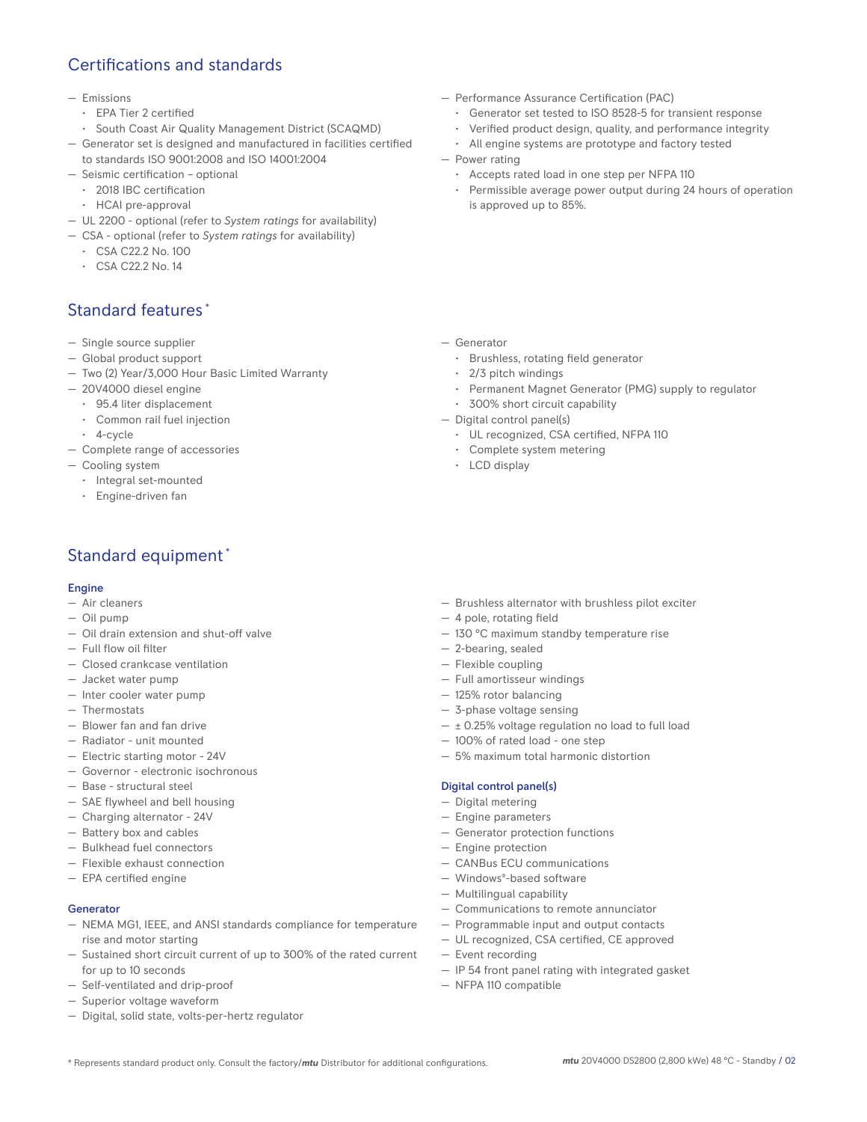# Certifications and standards

#### — Emissions

- EPA Tier 2 certified
- South Coast Air Quality Management District (SCAQMD)
- Generator set is designed and manufactured in facilities certified to standards ISO 9001:2008 and ISO 14001:2004
- Seismic certification optional
	- 2018 IBC certification
	- HCAI pre-approval
- UL 2200 optional (refer to *System ratings* for availability)
- CSA optional (refer to *System ratings* for availability)
	- CSA C22.2 No. 100
	- CSA C22.2 No. 14

# Standard features \*

- Single source supplier
- Global product support
- Two (2) Year/3,000 Hour Basic Limited Warranty
- 20V4000 diesel engine
	- 95.4 liter displacement
	- Common rail fuel injection
	- 4-cycle
- Complete range of accessories
- Cooling system
	- Integral set-mounted
	- Engine-driven fan

# Standard equipment \*

#### **Engine**

- Air cleaners
- Oil pump
- Oil drain extension and shut-off valve
- Full flow oil filter
- Closed crankcase ventilation
- Jacket water pump
- Inter cooler water pump
- Thermostats
- Blower fan and fan drive
- Radiator unit mounted
- Electric starting motor 24V
- Governor electronic isochronous
- Base structural steel
- SAE flywheel and bell housing
- Charging alternator 24V
- Battery box and cables
- Bulkhead fuel connectors
- Flexible exhaust connection
- EPA certified engine

### Generator

- NEMA MG1, IEEE, and ANSI standards compliance for temperature rise and motor starting
- Sustained short circuit current of up to 300% of the rated current for up to 10 seconds
- Self-ventilated and drip-proof
- Superior voltage waveform
- Digital, solid state, volts-per-hertz regulator
- Performance Assurance Certification (PAC)
	- Generator set tested to ISO 8528-5 for transient response
	- Verified product design, quality, and performance integrity
	- All engine systems are prototype and factory tested
- Power rating
	- Accepts rated load in one step per NFPA 110
	- Permissible average power output during 24 hours of operation is approved up to 85%.

- Generator
	- Brushless, rotating field generator
	- 2/3 pitch windings
	- Permanent Magnet Generator (PMG) supply to regulator
	- 300% short circuit capability
- Digital control panel(s)
	- UL recognized, CSA certified, NFPA 110
	- Complete system metering
	- LCD display

- Brushless alternator with brushless pilot exciter
- 4 pole, rotating field
- 130 °C maximum standby temperature rise
- 2-bearing, sealed
- 125% rotor balancing
- 3-phase voltage sensing
- $\pm$  0.25% voltage regulation no load to full load
- 100% of rated load one step
- 5% maximum total harmonic distortion

### Digital control panel(s)

- Digital metering
- Engine parameters
- Generator protection functions
- Engine protection
- CANBus ECU communications
- Windows®-based software
- Multilingual capability
- Communications to remote annunciator
- Programmable input and output contacts
- UL recognized, CSA certified, CE approved
- Event recording
- IP 54 front panel rating with integrated gasket
- NFPA 110 compatible
- Flexible coupling — Full amortisseur windings
	-
	-
	-
	-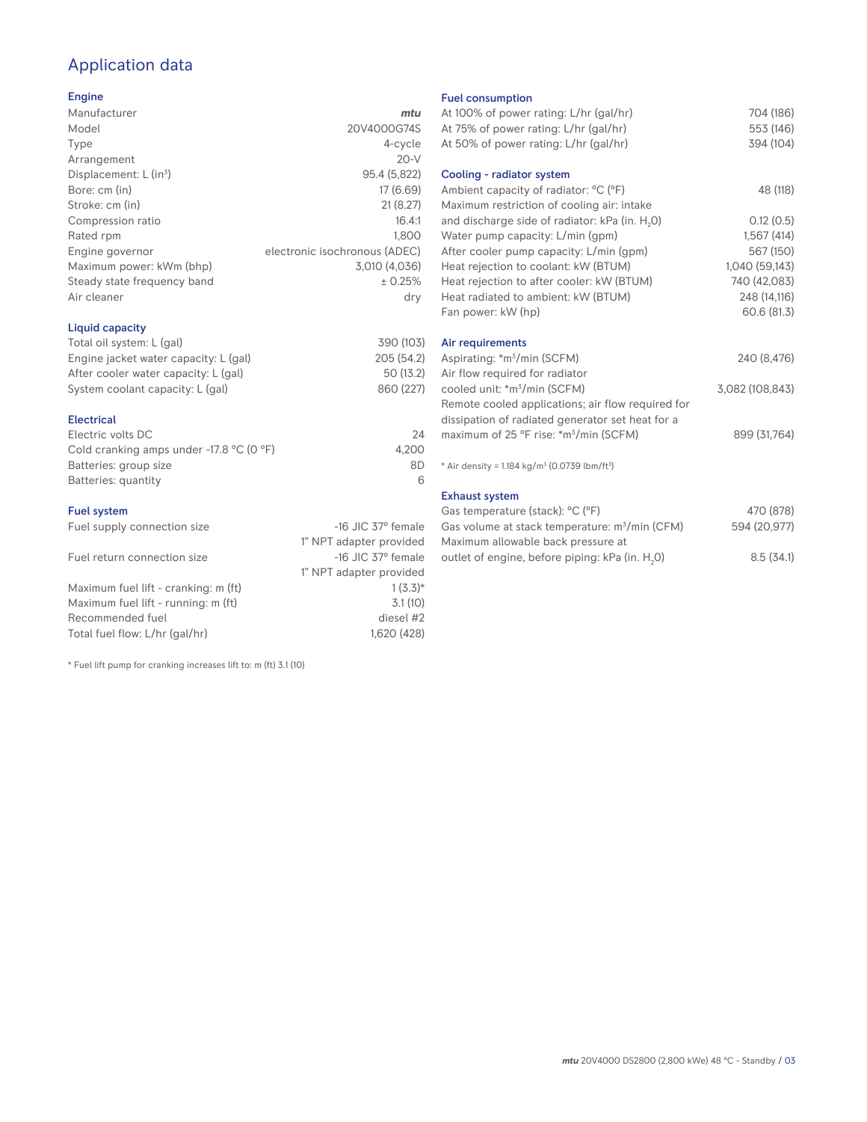# Application data

### Engine

| Manufacturer                         | mtu                           |
|--------------------------------------|-------------------------------|
| Model                                | 20V4000G74S                   |
| Type                                 | 4-cycle                       |
| Arrangement                          | $20-V$                        |
| Displacement: $L$ (in <sup>3</sup> ) | 95.4 (5,822)                  |
| Bore: cm (in)                        | 17 (6.69)                     |
| Stroke: cm (in)                      | 21(8.27)                      |
| Compression ratio                    | 16.4:1                        |
| Rated rpm                            | 1.800                         |
| Engine governor                      | electronic isochronous (ADEC) |
| Maximum power: kWm (bhp)             | 3.010 (4.036)                 |
| Steady state frequency band          | ± 0.25%                       |
| Air cleaner                          | dry                           |
|                                      |                               |

### Liquid capacity

| Total oil system: L (gal)             | 390 (103)  |
|---------------------------------------|------------|
| Engine jacket water capacity: L (gal) | 205 (54.2) |
| After cooler water capacity: L (gal)  | 50 (13.2)  |
| System coolant capacity: L (gal)      | 860 (227)  |
|                                       |            |

### Electrical

| Electric volts DC                                            | 24    |
|--------------------------------------------------------------|-------|
| Cold cranking amps under -17.8 $^{\circ}$ C (O $^{\circ}$ F) | 4.200 |
| Batteries: group size                                        | 8D    |
| Batteries: quantity                                          |       |

### Fuel system

| Fuel supply connection size          | $-16$ JIC 37 $\degree$ female |
|--------------------------------------|-------------------------------|
|                                      | 1" NPT adapter provided       |
| Fuel return connection size          | $-16$ JIC 37 $\degree$ female |
|                                      | 1" NPT adapter provided       |
| Maximum fuel lift - cranking: m (ft) | $1(3.3)*$                     |
| Maximum fuel lift - running: m (ft)  | 3.1(10)                       |
| Recommended fuel                     | diesel #2                     |
| Total fuel flow: L/hr (gal/hr)       | 1,620 (428)                   |

\* Fuel lift pump for cranking increases lift to: m (ft) 3.1 (10)

#### Fuel consumption

| At 100% of power rating: L/hr (gal/hr)                                | 704 (186)       |
|-----------------------------------------------------------------------|-----------------|
| At 75% of power rating: L/hr (gal/hr)                                 | 553 (146)       |
| At 50% of power rating: L/hr (gal/hr)                                 | 394 (104)       |
| Cooling - radiator system                                             |                 |
| Ambient capacity of radiator: °C (°F)                                 | 48 (118)        |
| Maximum restriction of cooling air: intake                            |                 |
| and discharge side of radiator: kPa (in. H <sub>2</sub> O)            | 0.12(0.5)       |
| Water pump capacity: L/min (gpm)                                      | 1,567(414)      |
| After cooler pump capacity: L/min (gpm)                               | 567 (150)       |
| Heat rejection to coolant: kW (BTUM)                                  | 1,040 (59,143)  |
| Heat rejection to after cooler: kW (BTUM)                             | 740 (42,083)    |
| Heat radiated to ambient: kW (BTUM)                                   | 248 (14,116)    |
| Fan power: kW (hp)                                                    | 60.6 (81.3)     |
| Air requirements                                                      |                 |
| Aspirating: *m <sup>3</sup> /min (SCFM)                               | 240 (8,476)     |
| Air flow required for radiator                                        |                 |
| cooled unit: *m <sup>3</sup> /min (SCFM)                              | 3,082 (108,843) |
| Remote cooled applications; air flow required for                     |                 |
| dissipation of radiated generator set heat for a                      |                 |
| maximum of 25 °F rise: *m <sup>3</sup> /min (SCFM)                    | 899 (31,764)    |
| * Air density = 1.184 kg/m <sup>3</sup> (0.0739 lbm/ft <sup>3</sup> ) |                 |
| <b>Exhaust system</b>                                                 |                 |
| Gas temperature (stack): °C (°F)                                      | 470 (878)       |
| Gas volume at stack temperature: m <sup>3</sup> /min (CFM)            | 594 (20,977)    |

| Gas volume at stack temperature: m <sup>3</sup> /min (CFM)  | 594 (20,977) |
|-------------------------------------------------------------|--------------|
| Maximum allowable back pressure at                          |              |
| outlet of engine, before piping: kPa (in. H <sub>2</sub> O) | 8.5(34.1)    |